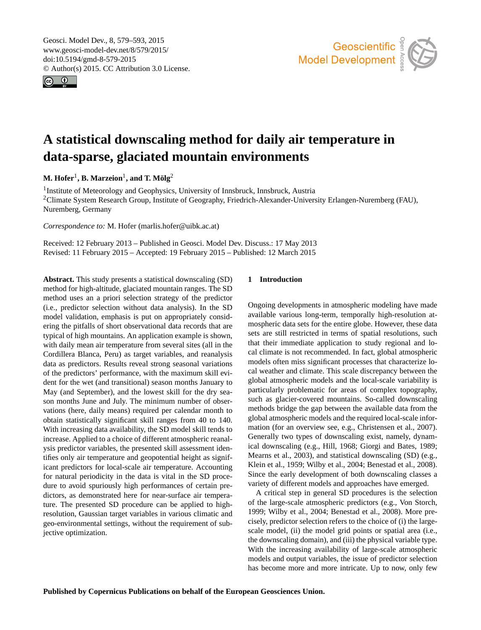<span id="page-0-1"></span>Geosci. Model Dev., 8, 579–593, 2015 www.geosci-model-dev.net/8/579/2015/ doi:10.5194/gmd-8-579-2015 © Author(s) 2015. CC Attribution 3.0 License.





# **A statistical downscaling method for daily air temperature in data-sparse, glaciated mountain environments**

 $\mathbf{M.~Hofer}^{1}, \mathbf{B.~Marzeion}^{1}, \mathbf{and~T.~Mölg}^{2}$  $\mathbf{M.~Hofer}^{1}, \mathbf{B.~Marzeion}^{1}, \mathbf{and~T.~Mölg}^{2}$  $\mathbf{M.~Hofer}^{1}, \mathbf{B.~Marzeion}^{1}, \mathbf{and~T.~Mölg}^{2}$  $\mathbf{M.~Hofer}^{1}, \mathbf{B.~Marzeion}^{1}, \mathbf{and~T.~Mölg}^{2}$  $\mathbf{M.~Hofer}^{1}, \mathbf{B.~Marzeion}^{1}, \mathbf{and~T.~Mölg}^{2}$ 

<sup>1</sup> Institute of Meteorology and Geophysics, University of Innsbruck, Innsbruck, Austria <sup>2</sup>Climate System Research Group, Institute of Geography, Friedrich-Alexander-University Erlangen-Nuremberg (FAU), Nuremberg, Germany

*Correspondence to:* M. Hofer (marlis.hofer@uibk.ac.at)

Received: 12 February 2013 – Published in Geosci. Model Dev. Discuss.: 17 May 2013 Revised: 11 February 2015 – Accepted: 19 February 2015 – Published: 12 March 2015

<span id="page-0-0"></span>**Abstract.** This study presents a statistical downscaling (SD) method for high-altitude, glaciated mountain ranges. The SD method uses an a priori selection strategy of the predictor (i.e., predictor selection without data analysis). In the SD model validation, emphasis is put on appropriately considering the pitfalls of short observational data records that are typical of high mountains. An application example is shown, with daily mean air temperature from several sites (all in the Cordillera Blanca, Peru) as target variables, and reanalysis data as predictors. Results reveal strong seasonal variations of the predictors' performance, with the maximum skill evident for the wet (and transitional) season months January to May (and September), and the lowest skill for the dry season months June and July. The minimum number of observations (here, daily means) required per calendar month to obtain statistically significant skill ranges from 40 to 140. With increasing data availability, the SD model skill tends to increase. Applied to a choice of different atmospheric reanalysis predictor variables, the presented skill assessment identifies only air temperature and geopotential height as significant predictors for local-scale air temperature. Accounting for natural periodicity in the data is vital in the SD procedure to avoid spuriously high performances of certain predictors, as demonstrated here for near-surface air temperature. The presented SD procedure can be applied to highresolution, Gaussian target variables in various climatic and geo-environmental settings, without the requirement of subjective optimization.

## **1 Introduction**

Ongoing developments in atmospheric modeling have made available various long-term, temporally high-resolution atmospheric data sets for the entire globe. However, these data sets are still restricted in terms of spatial resolutions, such that their immediate application to study regional and local climate is not recommended. In fact, global atmospheric models often miss significant processes that characterize local weather and climate. This scale discrepancy between the global atmospheric models and the local-scale variability is particularly problematic for areas of complex topography, such as glacier-covered mountains. So-called downscaling methods bridge the gap between the available data from the global atmospheric models and the required local-scale information (for an overview see, e.g., [Christensen et al.,](#page-12-0) [2007\)](#page-12-0). Generally two types of downscaling exist, namely, dynamical downscaling (e.g., [Hill,](#page-13-0) [1968;](#page-13-0) [Giorgi and Bates,](#page-13-1) [1989;](#page-13-1) [Mearns et al.,](#page-13-2) [2003\)](#page-13-2), and statistical downscaling (SD) (e.g., [Klein et al.,](#page-13-3) [1959;](#page-13-3) [Wilby et al.,](#page-14-0) [2004;](#page-14-0) [Benestad et al.,](#page-12-1) [2008\)](#page-12-1). Since the early development of both downscaling classes a variety of different models and approaches have emerged.

A critical step in general SD procedures is the selection of the large-scale atmospheric predictors (e.g., [Von Storch,](#page-14-1) [1999;](#page-14-1) [Wilby et al.,](#page-14-0) [2004;](#page-14-0) [Benestad et al.,](#page-12-1) [2008\)](#page-12-1). More precisely, predictor selection refers to the choice of (i) the largescale model, (ii) the model grid points or spatial area (i.e., the downscaling domain), and (iii) the physical variable type. With the increasing availability of large-scale atmospheric models and output variables, the issue of predictor selection has become more and more intricate. Up to now, only few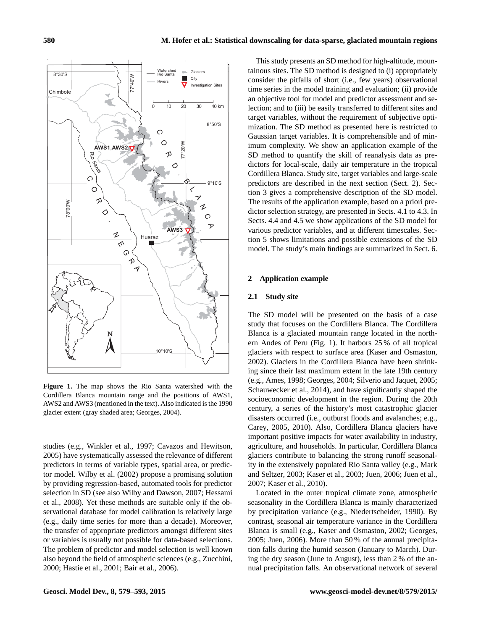<span id="page-1-1"></span>

**Figure 1.** The map shows the Rio Santa watershed with the Cordillera Blanca mountain range and the positions of AWS1, AWS2 and AWS3 (mentioned in the text). Also indicated is the 1990 glacier extent (gray shaded area; [Georges,](#page-12-2) [2004\)](#page-12-2).

studies (e.g., [Winkler et al.,](#page-14-2) [1997;](#page-14-2) [Cavazos and Hewitson,](#page-12-3) [2005\)](#page-12-3) have systematically assessed the relevance of different predictors in terms of variable types, spatial area, or predictor model. [Wilby et al.](#page-14-3) [\(2002\)](#page-14-3) propose a promising solution by providing regression-based, automated tools for predictor selection in SD (see also [Wilby and Dawson,](#page-14-4) [2007;](#page-14-4) [Hessami](#page-13-4) [et al.,](#page-13-4) [2008\)](#page-13-4). Yet these methods are suitable only if the observational database for model calibration is relatively large (e.g., daily time series for more than a decade). Moreover, the transfer of appropriate predictors amongst different sites or variables is usually not possible for data-based selections. The problem of predictor and model selection is well known also beyond the field of atmospheric sciences (e.g., [Zucchini,](#page-14-5) [2000;](#page-14-5) [Hastie et al.,](#page-13-5) [2001;](#page-13-5) [Bair et al.,](#page-12-4) [2006\)](#page-12-4).

This study presents an SD method for high-altitude, mountainous sites. The SD method is designed to (i) appropriately consider the pitfalls of short (i.e., few years) observational time series in the model training and evaluation; (ii) provide an objective tool for model and predictor assessment and selection; and to (iii) be easily transferred to different sites and target variables, without the requirement of subjective optimization. The SD method as presented here is restricted to Gaussian target variables. It is comprehensible and of minimum complexity. We show an application example of the SD method to quantify the skill of reanalysis data as predictors for local-scale, daily air temperature in the tropical Cordillera Blanca. Study site, target variables and large-scale predictors are described in the next section (Sect. [2\)](#page-1-0). Section [3](#page-3-0) gives a comprehensive description of the SD model. The results of the application example, based on a priori predictor selection strategy, are presented in Sects. [4.1](#page-6-0) to [4.3.](#page-7-0) In Sects. [4.4](#page-8-0) and [4.5](#page-10-0) we show applications of the SD model for various predictor variables, and at different timescales. Section [5](#page-10-1) shows limitations and possible extensions of the SD model. The study's main findings are summarized in Sect. [6.](#page-11-0)

## <span id="page-1-0"></span>**2 Application example**

# **2.1 Study site**

The SD model will be presented on the basis of a case study that focuses on the Cordillera Blanca. The Cordillera Blanca is a glaciated mountain range located in the northern Andes of Peru (Fig. [1\)](#page-1-1). It harbors 25 % of all tropical glaciers with respect to surface area [\(Kaser and Osmaston,](#page-13-6) [2002\)](#page-13-6). Glaciers in the Cordillera Blanca have been shrinking since their last maximum extent in the late 19th century (e.g., [Ames,](#page-12-5) [1998;](#page-12-5) [Georges,](#page-12-2) [2004;](#page-12-2) [Silverio and Jaquet,](#page-14-6) [2005;](#page-14-6) [Schauwecker et al.,](#page-13-7) [2014\)](#page-13-7), and have significantly shaped the socioeconomic development in the region. During the 20th century, a series of the history's most catastrophic glacier disasters occurred (i.e., outburst floods and avalanches; e.g., [Carey,](#page-12-6) [2005,](#page-12-6) [2010\)](#page-12-7). Also, Cordillera Blanca glaciers have important positive impacts for water availability in industry, agriculture, and households. In particular, Cordillera Blanca glaciers contribute to balancing the strong runoff seasonality in the extensively populated Rio Santa valley (e.g., [Mark](#page-13-8) [and Seltzer,](#page-13-8) [2003;](#page-13-8) [Kaser et al.,](#page-13-9) [2003;](#page-13-9) [Juen,](#page-13-10) [2006;](#page-13-10) [Juen et al.,](#page-13-11) [2007;](#page-13-11) [Kaser et al.,](#page-13-12) [2010\)](#page-13-12).

Located in the outer tropical climate zone, atmospheric seasonality in the Cordillera Blanca is mainly characterized by precipitation variance (e.g., [Niedertscheider,](#page-13-13) [1990\)](#page-13-13). By contrast, seasonal air temperature variance in the Cordillera Blanca is small (e.g., [Kaser and Osmaston,](#page-13-6) [2002;](#page-13-6) [Georges,](#page-12-8) [2005;](#page-12-8) [Juen,](#page-13-10) [2006\)](#page-13-10). More than 50 % of the annual precipitation falls during the humid season (January to March). During the dry season (June to August), less than 2 % of the annual precipitation falls. An observational network of several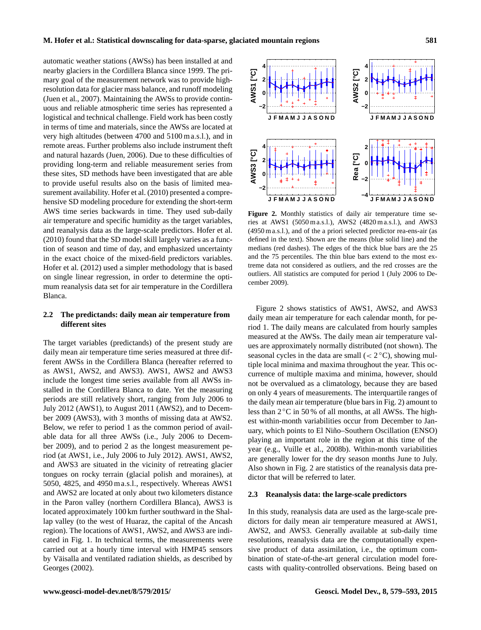automatic weather stations (AWSs) has been installed at and nearby glaciers in the Cordillera Blanca since 1999. The primary goal of the measurement network was to provide highresolution data for glacier mass balance, and runoff modeling [\(Juen et al.,](#page-13-11) [2007\)](#page-13-11). Maintaining the AWSs to provide continuous and reliable atmospheric time series has represented a logistical and technical challenge. Field work has been costly in terms of time and materials, since the AWSs are located at very high altitudes (between 4700 and 5100 m a.s.l.), and in remote areas. Further problems also include instrument theft and natural hazards [\(Juen,](#page-13-10) [2006\)](#page-13-10). Due to these difficulties of providing long-term and reliable measurement series from these sites, SD methods have been investigated that are able to provide useful results also on the basis of limited mea-surement availability. [Hofer et al.](#page-13-14) [\(2010\)](#page-13-14) presented a comprehensive SD modeling procedure for extending the short-term AWS time series backwards in time. They used sub-daily air temperature and specific humidity as the target variables, and reanalysis data as the large-scale predictors. [Hofer et al.](#page-13-14) [\(2010\)](#page-13-14) found that the SD model skill largely varies as a function of season and time of day, and emphasized uncertainty in the exact choice of the mixed-field predictors variables. [Hofer et al.](#page-13-15) [\(2012\)](#page-13-15) used a simpler methodology that is based on single linear regression, in order to determine the optimum reanalysis data set for air temperature in the Cordillera Blanca.

# **2.2 The predictands: daily mean air temperature from different sites**

The target variables (predictands) of the present study are daily mean air temperature time series measured at three different AWSs in the Cordillera Blanca (hereafter referred to as AWS1, AWS2, and AWS3). AWS1, AWS2 and AWS3 include the longest time series available from all AWSs installed in the Cordillera Blanca to date. Yet the measuring periods are still relatively short, ranging from July 2006 to July 2012 (AWS1), to August 2011 (AWS2), and to December 2009 (AWS3), with 3 months of missing data at AWS2. Below, we refer to period 1 as the common period of available data for all three AWSs (i.e., July 2006 to December 2009), and to period 2 as the longest measurement period (at AWS1, i.e., July 2006 to July 2012). AWS1, AWS2, and AWS3 are situated in the vicinity of retreating glacier tongues on rocky terrain (glacial polish and moraines), at 5050, 4825, and 4950 m a.s.l., respectively. Whereas AWS1 and AWS2 are located at only about two kilometers distance in the Paron valley (northern Cordillera Blanca), AWS3 is located approximately 100 km further southward in the Shallap valley (to the west of Huaraz, the capital of the Ancash region). The locations of AWS1, AWS2, and AWS3 are indicated in Fig. [1.](#page-1-1) In technical terms, the measurements were carried out at a hourly time interval with HMP45 sensors by Väisalla and ventilated radiation shields, as described by [Georges](#page-12-9) [\(2002\)](#page-12-9).

<span id="page-2-0"></span>

**Figure 2.** Monthly statistics of daily air temperature time series at AWS1 (5050 m a.s.l.), AWS2 (4820 m a.s.l.), and AWS3 (4950 m a.s.l.), and of the a priori selected predictor rea-ens-air (as defined in the text). Shown are the means (blue solid line) and the medians (red dashes). The edges of the thick blue bars are the 25 and the 75 percentiles. The thin blue bars extend to the most extreme data not considered as outliers, and the red crosses are the outliers. All statistics are computed for period 1 (July 2006 to December 2009).

Figure [2](#page-2-0) shows statistics of AWS1, AWS2, and AWS3 daily mean air temperature for each calendar month, for period 1. The daily means are calculated from hourly samples measured at the AWSs. The daily mean air temperature values are approximately normally distributed (not shown). The seasonal cycles in the data are small  $(< 2 °C)$ , showing multiple local minima and maxima throughout the year. This occurrence of multiple maxima and minima, however, should not be overvalued as a climatology, because they are based on only 4 years of measurements. The interquartile ranges of the daily mean air temperature (blue bars in Fig. [2\)](#page-2-0) amount to less than  $2^{\circ}$ C in 50% of all months, at all AWSs. The highest within-month variabilities occur from December to January, which points to El Niño–Southern Oscillation (ENSO) playing an important role in the region at this time of the year (e.g., [Vuille et al.,](#page-14-7) [2008b\)](#page-14-7). Within-month variabilities are generally lower for the dry season months June to July. Also shown in Fig. [2](#page-2-0) are statistics of the reanalysis data predictor that will be referred to later.

#### **2.3 Reanalysis data: the large-scale predictors**

In this study, reanalysis data are used as the large-scale predictors for daily mean air temperature measured at AWS1, AWS2, and AWS3. Generally available at sub-daily time resolutions, reanalysis data are the computationally expensive product of data assimilation, i.e., the optimum combination of state-of-the-art general circulation model forecasts with quality-controlled observations. Being based on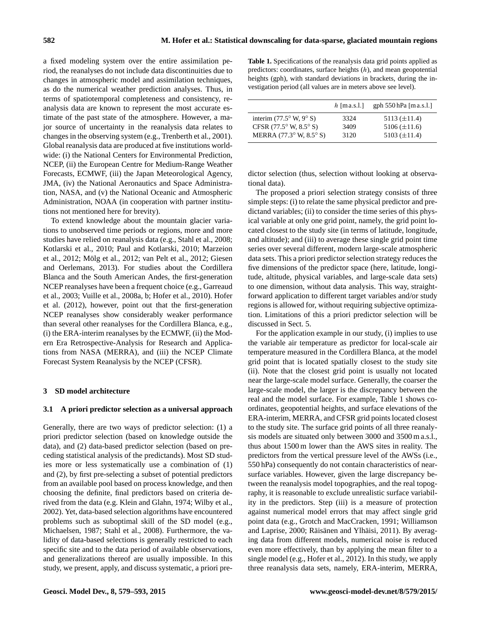a fixed modeling system over the entire assimilation period, the reanalyses do not include data discontinuities due to changes in atmospheric model and assimilation techniques, as do the numerical weather prediction analyses. Thus, in terms of spatiotemporal completeness and consistency, reanalysis data are known to represent the most accurate estimate of the past state of the atmosphere. However, a major source of uncertainty in the reanalysis data relates to changes in the observing system (e.g., [Trenberth et al.,](#page-14-8) [2001\)](#page-14-8). Global reanalysis data are produced at five institutions worldwide: (i) the National Centers for Environmental Prediction, NCEP, (ii) the European Centre for Medium-Range Weather Forecasts, ECMWF, (iii) the Japan Meteorological Agency, JMA, (iv) the National Aeronautics and Space Administration, NASA, and (v) the National Oceanic and Atmospheric Administration, NOAA (in cooperation with partner institutions not mentioned here for brevity).

To extend knowledge about the mountain glacier variations to unobserved time periods or regions, more and more studies have relied on reanalysis data (e.g., [Stahl et al.,](#page-14-9) [2008;](#page-14-9) [Kotlarski et al.,](#page-13-16) [2010;](#page-13-16) [Paul and Kotlarski,](#page-13-17) [2010;](#page-13-17) [Marzeion](#page-13-18) [et al.,](#page-13-18) [2012;](#page-13-18) [Mölg et al.,](#page-13-19) [2012;](#page-13-19) [van Pelt et al.,](#page-14-10) [2012;](#page-14-10) [Giesen](#page-12-10) [and Oerlemans,](#page-12-10) [2013\)](#page-12-10). For studies about the Cordillera Blanca and the South American Andes, the first-generation NCEP reanalyses have been a frequent choice (e.g., [Garreaud](#page-12-11) [et al.,](#page-12-11) [2003;](#page-12-11) [Vuille et al.,](#page-14-11) [2008a,](#page-14-11) [b;](#page-14-7) [Hofer et al.,](#page-13-14) [2010\)](#page-13-14). [Hofer](#page-13-15) [et al.](#page-13-15) [\(2012\)](#page-13-15), however, point out that the first-generation NCEP reanalyses show considerably weaker performance than several other reanalyses for the Cordillera Blanca, e.g., (i) the ERA-interim reanalyses by the ECMWF, (ii) the Modern Era Retrospective-Analysis for Research and Applications from NASA (MERRA), and (iii) the NCEP Climate Forecast System Reanalysis by the NCEP (CFSR).

## <span id="page-3-0"></span>**3 SD model architecture**

## **3.1 A priori predictor selection as a universal approach**

Generally, there are two ways of predictor selection: (1) a priori predictor selection (based on knowledge outside the data), and (2) data-based predictor selection (based on preceding statistical analysis of the predictands). Most SD studies more or less systematically use a combination of (1) and (2), by first pre-selecting a subset of potential predictors from an available pool based on process knowledge, and then choosing the definite, final predictors based on criteria derived from the data (e.g. [Klein and Glahn,](#page-13-20) [1974;](#page-13-20) [Wilby et al.,](#page-14-3) [2002\)](#page-14-3). Yet, data-based selection algorithms have encountered problems such as suboptimal skill of the SD model (e.g., [Michaelsen,](#page-13-21) [1987;](#page-13-21) [Stahl et al.,](#page-14-9) [2008\)](#page-14-9). Furthermore, the validity of data-based selections is generally restricted to each specific site and to the data period of available observations, and generalizations thereof are usually impossible. In this study, we present, apply, and discuss systematic, a priori pre-

<span id="page-3-1"></span>**Table 1.** Specifications of the reanalysis data grid points applied as predictors: coordinates, surface heights  $(h)$ , and mean geopotential heights (gph), with standard deviations in brackets, during the investigation period (all values are in meters above see level).

|                                                        | $h$ [m a.s.l.] | gph 550 hPa $[m a.s.1.]$ |
|--------------------------------------------------------|----------------|--------------------------|
| interim $(77.5^{\circ}$ W, $9^{\circ}$ S)              | 3324           | 5113 $(\pm 11.4)$        |
| CFSR $(77.5^{\circ} \text{ W}, 8.5^{\circ} \text{ S})$ | 3409           | 5106 $(\pm 11.6)$        |
| MERRA $(77.3^{\circ}$ W, $8.5^{\circ}$ S)              | 3120           | 5103 $(\pm 11.4)$        |

dictor selection (thus, selection without looking at observational data).

The proposed a priori selection strategy consists of three simple steps: (i) to relate the same physical predictor and predictand variables; (ii) to consider the time series of this physical variable at only one grid point, namely, the grid point located closest to the study site (in terms of latitude, longitude, and altitude); and (iii) to average these single grid point time series over several different, modern large-scale atmospheric data sets. This a priori predictor selection strategy reduces the five dimensions of the predictor space (here, latitude, longitude, altitude, physical variables, and large-scale data sets) to one dimension, without data analysis. This way, straightforward application to different target variables and/or study regions is allowed for, without requiring subjective optimization. Limitations of this a priori predictor selection will be discussed in Sect. [5.](#page-10-1)

For the application example in our study, (i) implies to use the variable air temperature as predictor for local-scale air temperature measured in the Cordillera Blanca, at the model grid point that is located spatially closest to the study site (ii). Note that the closest grid point is usually not located near the large-scale model surface. Generally, the coarser the large-scale model, the larger is the discrepancy between the real and the model surface. For example, Table [1](#page-3-1) shows coordinates, geopotential heights, and surface elevations of the ERA-interim, MERRA, and CFSR grid points located closest to the study site. The surface grid points of all three reanalysis models are situated only between 3000 and 3500 m a.s.l., thus about 1500 m lower than the AWS sites in reality. The predictors from the vertical pressure level of the AWSs (i.e., 550 hPa) consequently do not contain characteristics of nearsurface variables. However, given the large discrepancy between the reanalysis model topographies, and the real topography, it is reasonable to exclude unrealistic surface variability in the predictors. Step (iii) is a measure of protection against numerical model errors that may affect single grid point data (e.g., [Grotch and MacCracken,](#page-13-22) [1991;](#page-13-22) [Williamson](#page-14-12) [and Laprise,](#page-14-12) [2000;](#page-14-12) [Räisänen and Ylhäisi,](#page-13-23) [2011\)](#page-13-23). By averaging data from different models, numerical noise is reduced even more effectively, than by applying the mean filter to a single model (e.g., [Hofer et al.,](#page-13-15) [2012\)](#page-13-15). In this study, we apply three reanalysis data sets, namely, ERA-interim, MERRA,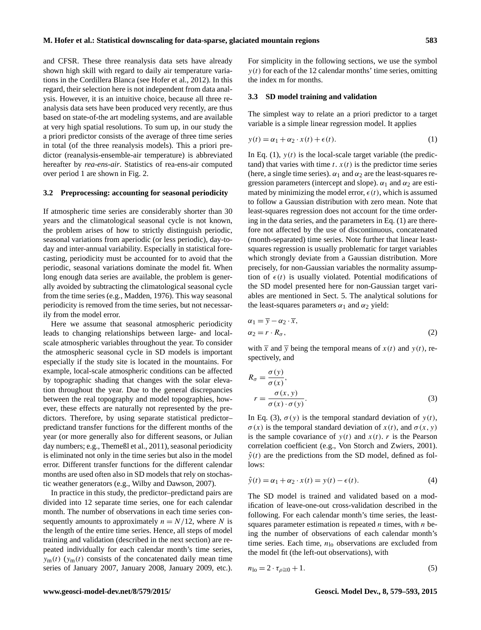and CFSR. These three reanalysis data sets have already shown high skill with regard to daily air temperature variations in the Cordillera Blanca (see [Hofer et al.,](#page-13-15) [2012\)](#page-13-15). In this regard, their selection here is not independent from data analysis. However, it is an intuitive choice, because all three reanalysis data sets have been produced very recently, are thus based on state-of-the art modeling systems, and are available at very high spatial resolutions. To sum up, in our study the a priori predictor consists of the average of three time series in total (of the three reanalysis models). This a priori predictor (reanalysis-ensemble-air temperature) is abbreviated hereafter by *rea-ens-air*. Statistics of rea-ens-air computed over period 1 are shown in Fig. [2.](#page-2-0)

## **3.2 Preprocessing: accounting for seasonal periodicity**

If atmospheric time series are considerably shorter than 30 years and the climatological seasonal cycle is not known, the problem arises of how to strictly distinguish periodic, seasonal variations from aperiodic (or less periodic), day-today and inter-annual variability. Especially in statistical forecasting, periodicity must be accounted for to avoid that the periodic, seasonal variations dominate the model fit. When long enough data series are available, the problem is generally avoided by subtracting the climatological seasonal cycle from the time series (e.g., [Madden,](#page-13-24) [1976\)](#page-13-24). This way seasonal periodicity is removed from the time series, but not necessarily from the model error.

Here we assume that seasonal atmospheric periodicity leads to changing relationships between large- and localscale atmospheric variables throughout the year. To consider the atmospheric seasonal cycle in SD models is important especially if the study site is located in the mountains. For example, local-scale atmospheric conditions can be affected by topographic shading that changes with the solar elevation throughout the year. Due to the general discrepancies between the real topography and model topographies, however, these effects are naturally not represented by the predictors. Therefore, by using separate statistical predictor– predictand transfer functions for the different months of the year (or more generally also for different seasons, or Julian day numbers; e.g., [Themeßl et al.,](#page-14-13) [2011\)](#page-14-13), seasonal periodicity is eliminated not only in the time series but also in the model error. Different transfer functions for the different calendar months are used often also in SD models that rely on stochastic weather generators (e.g., [Wilby and Dawson,](#page-14-4) [2007\)](#page-14-4).

In practice in this study, the predictor–predictand pairs are divided into 12 separate time series, one for each calendar month. The number of observations in each time series consequently amounts to approximately  $n = N/12$ , where N is the length of the entire time series. Hence, all steps of model training and validation (described in the next section) are repeated individually for each calendar month's time series,  $y_m(t)$  ( $y_m(t)$ ) consists of the concatenated daily mean time series of January 2007, January 2008, January 2009, etc.). For simplicity in the following sections, we use the symbol  $y(t)$  for each of the 12 calendar months' time series, omitting the index m for months.

#### <span id="page-4-3"></span>**3.3 SD model training and validation**

<span id="page-4-0"></span>The simplest way to relate an a priori predictor to a target variable is a simple linear regression model. It applies

$$
y(t) = \alpha_1 + \alpha_2 \cdot x(t) + \epsilon(t). \tag{1}
$$

In Eq.  $(1)$ ,  $y(t)$  is the local-scale target variable (the predictand) that varies with time t.  $x(t)$  is the predictor time series (here, a single time series).  $\alpha_1$  and  $\alpha_2$  are the least-squares regression parameters (intercept and slope).  $\alpha_1$  and  $\alpha_2$  are estimated by minimizing the model error,  $\epsilon(t)$ , which is assumed to follow a Gaussian distribution with zero mean. Note that least-squares regression does not account for the time ordering in the data series, and the parameters in Eq. [\(1\)](#page-4-0) are therefore not affected by the use of discontinuous, concatenated (month-separated) time series. Note further that linear leastsquares regression is usually problematic for target variables which strongly deviate from a Gaussian distribution. More precisely, for non-Gaussian variables the normality assumption of  $\epsilon(t)$  is usually violated. Potential modifications of the SD model presented here for non-Gaussian target variables are mentioned in Sect. [5.](#page-10-1) The analytical solutions for the least-squares parameters  $\alpha_1$  and  $\alpha_2$  yield:

<span id="page-4-2"></span>
$$
\alpha_1 = \overline{y} - \alpha_2 \cdot \overline{x}, \n\alpha_2 = r \cdot R_{\sigma},
$$
\n(2)

with  $\overline{x}$  and  $\overline{y}$  being the temporal means of  $x(t)$  and  $y(t)$ , respectively, and

<span id="page-4-1"></span>
$$
R_{\sigma} = \frac{\sigma(y)}{\sigma(x)},
$$
  
\n
$$
r = \frac{\sigma(x, y)}{\sigma(x) \cdot \sigma(y)}.
$$
 (3)

In Eq. [\(3\)](#page-4-1),  $\sigma(y)$  is the temporal standard deviation of  $y(t)$ ,  $\sigma(x)$  is the temporal standard deviation of  $x(t)$ , and  $\sigma(x, y)$ is the sample covariance of  $y(t)$  and  $x(t)$ . r is the Pearson correlation coefficient (e.g., [Von Storch and Zwiers,](#page-14-14) [2001\)](#page-14-14).  $\hat{y}(t)$  are the predictions from the SD model, defined as follows:

$$
\hat{y}(t) = \alpha_1 + \alpha_2 \cdot x(t) = y(t) - \epsilon(t). \tag{4}
$$

The SD model is trained and validated based on a modification of leave-one-out cross-validation described in the following. For each calendar month's time series, the leastsquares parameter estimation is repeated  $n$  times, with  $n$  being the number of observations of each calendar month's time series. Each time,  $n_{\text{lo}}$  observations are excluded from the model fit (the left-out observations), with

$$
n_{\text{lo}} = 2 \cdot \tau_{\rho \cong 0} + 1. \tag{5}
$$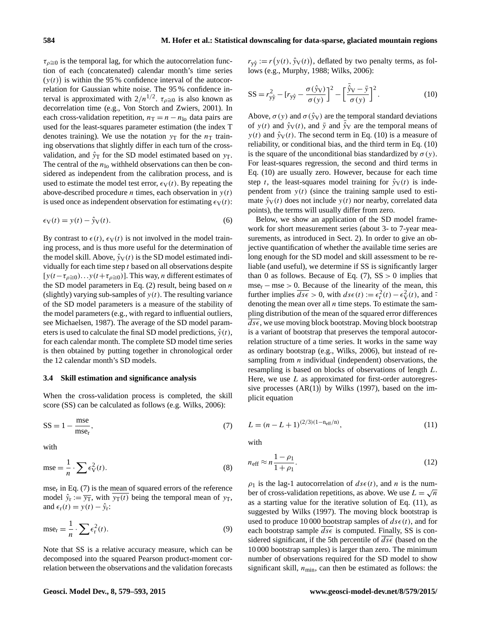$\tau_{\rho} \approx 0$  is the temporal lag, for which the autocorrelation function of each (concatenated) calendar month's time series  $(y(t))$  is within the 95% confidence interval of the autocorrelation for Gaussian white noise. The 95 % confidence interval is approximated with  $2/n^{1/2}$ .  $\tau_{\rho \cong 0}$  is also known as decorrelation time (e.g., [Von Storch and Zwiers,](#page-14-14) [2001\)](#page-14-14). In each cross-validation repetition,  $n_T = n - n_{\text{lo}}$  data pairs are used for the least-squares parameter estimation (the index T denotes training). We use the notation  $y_T$  for the  $n_T$  training observations that slightly differ in each turn of the crossvalidation, and  $\hat{y}_T$  for the SD model estimated based on  $y_T$ . The central of the  $n_{\text{lo}}$  withheld observations can then be considered as independent from the calibration process, and is used to estimate the model test error,  $\epsilon_V(t)$ . By repeating the above-described procedure *n* times, each observation in  $y(t)$ is used once as independent observation for estimating  $\epsilon_V(t)$ :

$$
\epsilon_{\rm V}(t) = y(t) - \hat{y}_{\rm V}(t). \tag{6}
$$

By contrast to  $\epsilon(t)$ ,  $\epsilon$ <sub>V</sub>(*t*) is not involved in the model training process, and is thus more useful for the determination of the model skill. Above,  $\hat{y}_V(t)$  is the SD model estimated individually for each time step t based on all observations despite  $[y(t-\tau_{\rho}\geq0)...y(t+\tau_{\rho}\geq0)]$ . This way, *n* different estimates of the SD model parameters in Eq.  $(2)$  result, being based on n (slightly) varying sub-samples of  $y(t)$ . The resulting variance of the SD model parameters is a measure of the stability of the model parameters (e.g., with regard to influential outliers, see [Michaelsen,](#page-13-21) [1987\)](#page-13-21). The average of the SD model parameters is used to calculate the final SD model predictions,  $\hat{y}(t)$ , for each calendar month. The complete SD model time series is then obtained by putting together in chronological order the 12 calendar month's SD models.

#### **3.4 Skill estimation and significance analysis**

When the cross-validation process is completed, the skill score (SS) can be calculated as follows (e.g. [Wilks,](#page-14-15) [2006\)](#page-14-15):

$$
SS = 1 - \frac{\text{mse}}{\text{mse}_{\text{r}}},\tag{7}
$$

with

$$
mse = \frac{1}{n} \cdot \sum \epsilon_V^2(t).
$$
 (8)

<span id="page-5-4"></span>mse<sub>r</sub> in Eq. [\(7\)](#page-5-0) is the mean of squared errors of the reference model  $\hat{y}_r := \overline{y_T}$ , with  $\overline{y_T(t)}$  being the temporal mean of  $y_T$ , and  $\epsilon_{\text{r}}(t) = y(t) - \hat{y}_{\text{r}}$ :

$$
mse_r = \frac{1}{n} \cdot \sum \epsilon_r^2(t). \tag{9}
$$

Note that SS is a relative accuracy measure, which can be decomposed into the squared Pearson product-moment correlation between the observations and the validation forecasts

<span id="page-5-1"></span> $r_{y\hat{y}} := r(y(t), \hat{y}_V(t))$ , deflated by two penalty terms, as follows (e.g., [Murphy,](#page-13-25) [1988;](#page-13-25) [Wilks,](#page-14-15) [2006\)](#page-14-15):

$$
SS = r_{y\hat{y}}^2 - [r_{y\hat{y}} - \frac{\sigma(\hat{y}_V)}{\sigma(y)}]^2 - \left[\frac{\bar{\hat{y}}_V - \bar{y}}{\sigma(y)}\right]^2.
$$
 (10)

Above,  $\sigma(y)$  and  $\sigma(\hat{y}_V)$  are the temporal standard deviations of  $y(t)$  and  $\hat{y}_V(t)$ , and  $\bar{y}$  and  $\hat{y}_V$  are the temporal means of  $y(t)$  and  $\hat{y}_V(t)$ . The second term in Eq. [\(10\)](#page-5-1) is a measure of reliability, or conditional bias, and the third term in Eq. [\(10\)](#page-5-1) is the square of the unconditional bias standardized by  $\sigma(y)$ . For least-squares regression, the second and third terms in Eq. [\(10\)](#page-5-1) are usually zero. However, because for each time step t, the least-squares model training for  $\hat{y}_V(t)$  is independent from  $y(t)$  (since the training sample used to estimate  $\hat{y}_V(t)$  does not include  $y(t)$  nor nearby, correlated data points), the terms will usually differ from zero.

<span id="page-5-3"></span>Below, we show an application of the SD model framework for short measurement series (about 3- to 7-year measurements, as introduced in Sect. [2\)](#page-1-0). In order to give an objective quantification of whether the available time series are long enough for the SD model and skill assessment to be reliable (and useful), we determine if SS is significantly larger than 0 as follows. Because of Eq.  $(7)$ , SS  $> 0$  implies that  $mse<sub>r</sub> - mse > 0$ . Because of the linearity of the mean, this further implies  $\overline{ds\epsilon} > 0$ , with  $ds\epsilon(t) := \epsilon_{\rm r}^2(t) - \epsilon_{\rm V}^2(t)$ , and  $\overline{\epsilon}$ denoting the mean over all  $n$  time steps. To estimate the sampling distribution of the mean of the squared error differences  $ds\epsilon$ , we use moving block bootstrap. Moving block bootstrap is a variant of bootstrap that preserves the temporal autocorrelation structure of a time series. It works in the same way as ordinary bootstrap (e.g., [Wilks,](#page-14-15) [2006\)](#page-14-15), but instead of resampling from  $n$  individual (independent) observations, the resampling is based on blocks of observations of length L. Here, we use  $L$  as approximated for first-order autoregressive processes  $(AR(1))$  by [Wilks](#page-14-16) [\(1997\)](#page-14-16), based on the implicit equation

<span id="page-5-2"></span><span id="page-5-0"></span>
$$
L = (n - L + 1)^{(2/3)(1 - n_{\text{eff}}/n)},
$$
\n(11)

<span id="page-5-5"></span>with

$$
n_{\text{eff}} \approx n \frac{1 - \rho_1}{1 + \rho_1}.\tag{12}
$$

 $\rho_1$  is the lag-1 autocorrelation of  $d s \epsilon(t)$ , and n is the number of cross-validation repetitions, as above. We use  $L = \sqrt{n}$ as a starting value for the iterative solution of Eq. [\(11\)](#page-5-2), as suggested by [Wilks](#page-14-16) [\(1997\)](#page-14-16). The moving block bootstrap is used to produce 10 000 bootstrap samples of  $d s \epsilon(t)$ , and for each bootstrap sample  $\overline{dse}$  is computed. Finally, SS is considered significant, if the 5th percentile of  $ds \in ($  based on the 10 000 bootstrap samples) is larger than zero. The minimum number of observations required for the SD model to show significant skill,  $n_{\text{min}}$ , can then be estimated as follows: the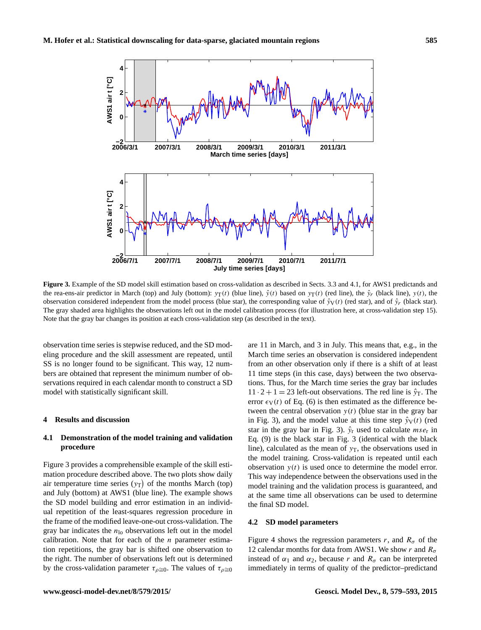<span id="page-6-1"></span>

**Figure 3.** Example of the SD model skill estimation based on cross-validation as described in Sects. [3.3](#page-4-3) and [4.1,](#page-6-0) for AWS1 predictands and the rea-ens-air predictor in March (top) and July (bottom):  $y_T(t)$  (blue line),  $\hat{y}(t)$  based on  $y_T(t)$  (red line), the  $\hat{y}_r$  (black line),  $y(t)$ , the observation considered independent from the model process (blue star), the corresponding value of  $\hat{y}_V(t)$  (red star), and of  $\hat{y}_r$  (black star). The gray shaded area highlights the observations left out in the model calibration process (for illustration here, at cross-validation step 15). Note that the gray bar changes its position at each cross-validation step (as described in the text).

observation time series is stepwise reduced, and the SD modeling procedure and the skill assessment are repeated, until SS is no longer found to be significant. This way, 12 numbers are obtained that represent the minimum number of observations required in each calendar month to construct a SD model with statistically significant skill.

## **4 Results and discussion**

# <span id="page-6-0"></span>**4.1 Demonstration of the model training and validation procedure**

Figure [3](#page-6-1) provides a comprehensible example of the skill estimation procedure described above. The two plots show daily air temperature time series  $(y_T)$  of the months March (top) and July (bottom) at AWS1 (blue line). The example shows the SD model building and error estimation in an individual repetition of the least-squares regression procedure in the frame of the modified leave-one-out cross-validation. The gray bar indicates the  $n_{\text{lo}}$  observations left out in the model calibration. Note that for each of the  $n$  parameter estimation repetitions, the gray bar is shifted one observation to the right. The number of observations left out is determined by the cross-validation parameter  $\tau_{\rho \simeq 0}$ . The values of  $\tau_{\rho \simeq 0}$  are 11 in March, and 3 in July. This means that, e.g., in the March time series an observation is considered independent from an other observation only if there is a shift of at least 11 time steps (in this case, days) between the two observations. Thus, for the March time series the gray bar includes  $11 \cdot 2 + 1 = 23$  left-out observations. The red line is  $\hat{y}_T$ . The error  $\epsilon_V(t)$  of Eq. [\(6\)](#page-5-3) is then estimated as the difference between the central observation  $y(t)$  (blue star in the gray bar in Fig. [3\)](#page-6-1), and the model value at this time step  $\hat{y}_V(t)$  (red star in the gray bar in Fig. [3\)](#page-6-1).  $\hat{y}_r$  used to calculate  $mse_r$  in Eq. [\(9\)](#page-5-4) is the black star in Fig. [3](#page-6-1) (identical with the black line), calculated as the mean of  $y_T$ , the observations used in the model training. Cross-validation is repeated until each observation  $y(t)$  is used once to determine the model error. This way independence between the observations used in the model training and the validation process is guaranteed, and at the same time all observations can be used to determine the final SD model.

## **4.2 SD model parameters**

Figure [4](#page-7-1) shows the regression parameters r, and  $R_{\sigma}$  of the 12 calendar months for data from AWS1. We show r and  $R_{\sigma}$ instead of  $\alpha_1$  and  $\alpha_2$ , because r and  $R_\sigma$  can be interpreted immediately in terms of quality of the predictor–predictand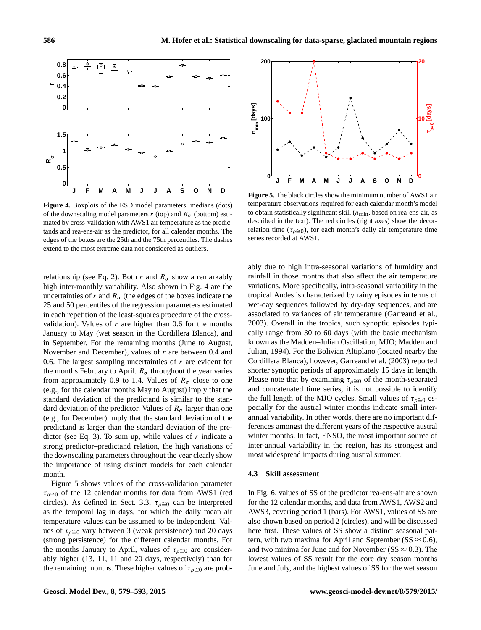<span id="page-7-1"></span>

**Figure 4.** Boxplots of the ESD model parameters: medians (dots) of the downscaling model parameters r (top) and  $R_{\sigma}$  (bottom) estimated by cross-validation with AWS1 air temperature as the predictands and rea-ens-air as the predictor, for all calendar months. The edges of the boxes are the 25th and the 75th percentiles. The dashes extend to the most extreme data not considered as outliers.

relationship (see Eq. [2\)](#page-4-2). Both r and  $R_{\sigma}$  show a remarkably high inter-monthly variability. Also shown in Fig. [4](#page-7-1) are the uncertainties of r and  $R_{\sigma}$  (the edges of the boxes indicate the 25 and 50 percentiles of the regression parameters estimated in each repetition of the least-squares procedure of the crossvalidation). Values of  $r$  are higher than 0.6 for the months January to May (wet season in the Cordillera Blanca), and in September. For the remaining months (June to August, November and December), values of  $r$  are between 0.4 and 0.6. The largest sampling uncertainties of  $r$  are evident for the months February to April.  $R_{\sigma}$  throughout the year varies from approximately 0.9 to 1.4. Values of  $R_{\sigma}$  close to one (e.g., for the calendar months May to August) imply that the standard deviation of the predictand is similar to the standard deviation of the predictor. Values of  $R_{\sigma}$  larger than one (e.g., for December) imply that the standard deviation of the predictand is larger than the standard deviation of the pre-dictor (see Eq. [3\)](#page-4-1). To sum up, while values of  $r$  indicate a strong predictor–predictand relation, the high variations of the downscaling parameters throughout the year clearly show the importance of using distinct models for each calendar month.

Figure [5](#page-7-2) shows values of the cross-validation parameter  $\tau_{\rho} \approx 0$  of the 12 calendar months for data from AWS1 (red circles). As defined in Sect. [3.3,](#page-4-3)  $\tau_{\rho} \approx 0$  can be interpreted as the temporal lag in days, for which the daily mean air temperature values can be assumed to be independent. Values of  $\tau_{\rho \simeq 0}$  vary between 3 (weak persistence) and 20 days (strong persistence) for the different calendar months. For the months January to April, values of  $\tau_{\rho} \approx 0$  are considerably higher (13, 11, 11 and 20 days, respectively) than for the remaining months. These higher values of  $\tau_{\rho \cong 0}$  are prob-

<span id="page-7-2"></span>

**Figure 5.** The black circles show the minimum number of AWS1 air temperature observations required for each calendar month's model to obtain statistically significant skill  $(n_{\text{min}})$ , based on rea-ens-air, as described in the text). The red circles (right axes) show the decorrelation time ( $\tau_{\rho \cong 0}$ ), for each month's daily air temperature time series recorded at AWS1.

ably due to high intra-seasonal variations of humidity and rainfall in those months that also affect the air temperature variations. More specifically, intra-seasonal variability in the tropical Andes is characterized by rainy episodes in terms of wet-day sequences followed by dry-day sequences, and are associated to variances of air temperature [\(Garreaud et al.,](#page-12-11) [2003\)](#page-12-11). Overall in the tropics, such synoptic episodes typically range from 30 to 60 days (with the basic mechanism known as the Madden–Julian Oscillation, MJO; [Madden and](#page-13-26) [Julian,](#page-13-26) [1994\)](#page-13-26). For the Bolivian Altiplano (located nearby the Cordillera Blanca), however, [Garreaud et al.](#page-12-11) [\(2003\)](#page-12-11) reported shorter synoptic periods of approximately 15 days in length. Please note that by examining  $\tau_{\rho} \approx 0$  of the month-separated and concatenated time series, it is not possible to identify the full length of the MJO cycles. Small values of  $\tau_{\rho \simeq 0}$  especially for the austral winter months indicate small interannual variability. In other words, there are no important differences amongst the different years of the respective austral winter months. In fact, ENSO, the most important source of inter-annual variability in the region, has its strongest and most widespread impacts during austral summer.

#### <span id="page-7-0"></span>**4.3 Skill assessment**

In Fig. [6,](#page-8-1) values of SS of the predictor rea-ens-air are shown for the 12 calendar months, and data from AWS1, AWS2 and AWS3, covering period 1 (bars). For AWS1, values of SS are also shown based on period 2 (circles), and will be discussed here first. These values of SS show a distinct seasonal pattern, with two maxima for April and September ( $SS \approx 0.6$ ), and two minima for June and for November ( $SS \approx 0.3$ ). The lowest values of SS result for the core dry season months June and July, and the highest values of SS for the wet season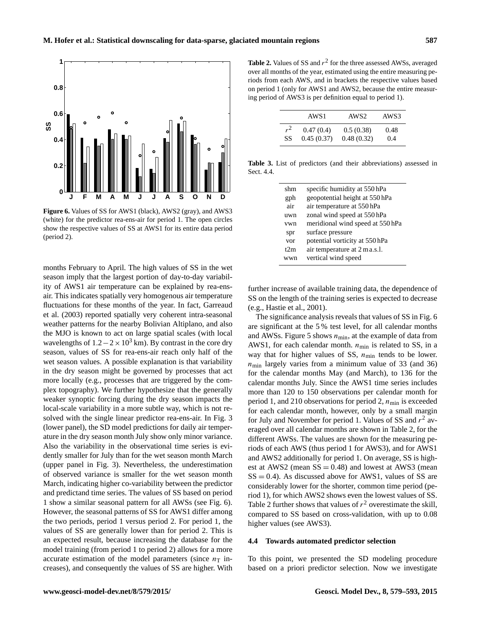<span id="page-8-1"></span>

**Figure 6.** Values of SS for AWS1 (black), AWS2 (gray), and AWS3 (white) for the predictor rea-ens-air for period 1. The open circles show the respective values of SS at AWS1 for its entire data period (period 2).

months February to April. The high values of SS in the wet season imply that the largest portion of day-to-day variability of AWS1 air temperature can be explained by rea-ensair. This indicates spatially very homogenous air temperature fluctuations for these months of the year. In fact, [Garreaud](#page-12-11) [et al.](#page-12-11) [\(2003\)](#page-12-11) reported spatially very coherent intra-seasonal weather patterns for the nearby Bolivian Altiplano, and also the MJO is known to act on large spatial scales (with local wavelengths of  $1.2 - 2 \times 10^3$  km). By contrast in the core dry season, values of SS for rea-ens-air reach only half of the wet season values. A possible explanation is that variability in the dry season might be governed by processes that act more locally (e.g., processes that are triggered by the complex topography). We further hypothesize that the generally weaker synoptic forcing during the dry season impacts the local-scale variability in a more subtle way, which is not resolved with the single linear predictor rea-ens-air. In Fig. [3](#page-6-1) (lower panel), the SD model predictions for daily air temperature in the dry season month July show only minor variance. Also the variability in the observational time series is evidently smaller for July than for the wet season month March (upper panel in Fig. [3\)](#page-6-1). Nevertheless, the underestimation of observed variance is smaller for the wet season month March, indicating higher co-variability between the predictor and predictand time series. The values of SS based on period 1 show a similar seasonal pattern for all AWSs (see Fig. [6\)](#page-8-1). However, the seasonal patterns of SS for AWS1 differ among the two periods, period 1 versus period 2. For period 1, the values of SS are generally lower than for period 2. This is an expected result, because increasing the database for the model training (from period 1 to period 2) allows for a more accurate estimation of the model parameters (since  $n<sub>T</sub>$  increases), and consequently the values of SS are higher. With

<span id="page-8-2"></span>**Table 2.** Values of SS and  $r^2$  for the three assessed AWSs, averaged over all months of the year, estimated using the entire measuring periods from each AWS, and in brackets the respective values based on period 1 (only for AWS1 and AWS2, because the entire measuring period of AWS3 is per definition equal to period 1).

|             | AWS <sub>1</sub>        | AWS <sub>2</sub>        | AWS3        |
|-------------|-------------------------|-------------------------|-------------|
| $r^2$<br>SS | 0.47(0.4)<br>0.45(0.37) | 0.5(0.38)<br>0.48(0.32) | 0.48<br>0.4 |

<span id="page-8-3"></span>**Table 3.** List of predictors (and their abbreviations) assessed in Sect. [4.4.](#page-8-0)

| shm | specific humidity at 550 hPa     |
|-----|----------------------------------|
| gph | geopotential height at 550 hPa   |
| air | air temperature at 550 hPa       |
| uwn | zonal wind speed at 550 hPa      |
| vwn | meridional wind speed at 550 hPa |
| spr | surface pressure                 |
| vor | potential vorticity at 550 hPa   |
| t2m | air temperature at 2 m a.s.l.    |
| wwn | vertical wind speed              |
|     |                                  |

further increase of available training data, the dependence of SS on the length of the training series is expected to decrease (e.g., [Hastie et al.,](#page-13-5) [2001\)](#page-13-5).

The significance analysis reveals that values of SS in Fig. [6](#page-8-1) are significant at the 5 % test level, for all calendar months and AWSs. Figure [5](#page-7-2) shows  $n_{\text{min}}$ , at the example of data from AWS1, for each calendar month.  $n_{\text{min}}$  is related to SS, in a way that for higher values of SS,  $n_{\text{min}}$  tends to be lower.  $n_{\text{min}}$  largely varies from a minimum value of 33 (and 36) for the calendar months May (and March), to 136 for the calendar months July. Since the AWS1 time series includes more than 120 to 150 observations per calendar month for period 1, and 210 observations for period 2,  $n_{\text{min}}$  is exceeded for each calendar month, however, only by a small margin for July and November for period 1. Values of SS and  $r^2$  averaged over all calendar months are shown in Table [2,](#page-8-2) for the different AWSs. The values are shown for the measuring periods of each AWS (thus period 1 for AWS3), and for AWS1 and AWS2 additionally for period 1. On average, SS is highest at AWS2 (mean  $SS = 0.48$ ) and lowest at AWS3 (mean  $SS = 0.4$ ). As discussed above for AWS1, values of SS are considerably lower for the shorter, common time period (period 1), for which AWS2 shows even the lowest values of SS. Table [2](#page-8-2) further shows that values of  $r^2$  overestimate the skill, compared to SS based on cross-validation, with up to 0.08 higher values (see AWS3).

#### <span id="page-8-0"></span>**4.4 Towards automated predictor selection**

To this point, we presented the SD modeling procedure based on a priori predictor selection. Now we investigate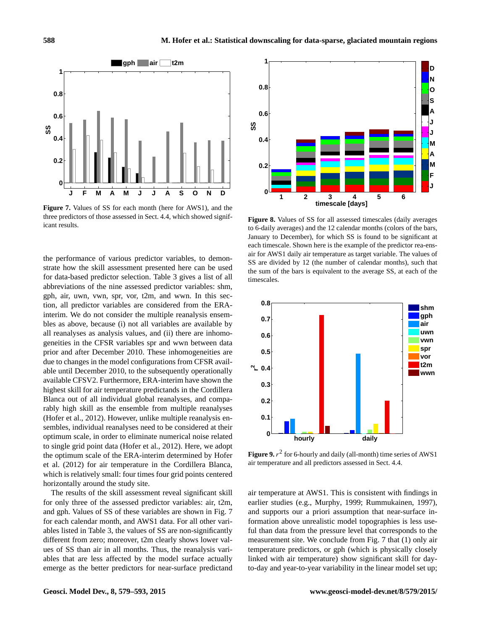<span id="page-9-0"></span>

**Figure 7.** Values of SS for each month (here for AWS1), and the three predictors of those assessed in Sect. [4.4,](#page-8-0) which showed significant results.

the performance of various predictor variables, to demonstrate how the skill assessment presented here can be used for data-based predictor selection. Table [3](#page-8-3) gives a list of all abbreviations of the nine assessed predictor variables: shm, gph, air, uwn, vwn, spr, vor, t2m, and wwn. In this section, all predictor variables are considered from the ERAinterim. We do not consider the multiple reanalysis ensembles as above, because (i) not all variables are available by all reanalyses as analysis values, and (ii) there are inhomogeneities in the CFSR variables spr and wwn between data prior and after December 2010. These inhomogeneities are due to changes in the model configurations from CFSR available until December 2010, to the subsequently operationally available CFSV2. Furthermore, ERA-interim have shown the highest skill for air temperature predictands in the Cordillera Blanca out of all individual global reanalyses, and comparably high skill as the ensemble from multiple reanalyses [\(Hofer et al.,](#page-13-15) [2012\)](#page-13-15). However, unlike multiple reanalysis ensembles, individual reanalyses need to be considered at their optimum scale, in order to eliminate numerical noise related to single grid point data [\(Hofer et al.,](#page-13-15) [2012\)](#page-13-15). Here, we adopt the optimum scale of the ERA-interim determined by [Hofer](#page-13-15) [et al.](#page-13-15) [\(2012\)](#page-13-15) for air temperature in the Cordillera Blanca, which is relatively small: four times four grid points centered horizontally around the study site.

The results of the skill assessment reveal significant skill for only three of the assessed predictor variables: air, t2m, and gph. Values of SS of these variables are shown in Fig. [7](#page-9-0) for each calendar month, and AWS1 data. For all other variables listed in Table [3,](#page-8-3) the values of SS are non-significantly different from zero; moreover, t2m clearly shows lower values of SS than air in all months. Thus, the reanalysis variables that are less affected by the model surface actually emerge as the better predictors for near-surface predictand

<span id="page-9-1"></span>

**Figure 8.** Values of SS for all assessed timescales (daily averages to 6-daily averages) and the 12 calendar months (colors of the bars, January to December), for which SS is found to be significant at each timescale. Shown here is the example of the predictor rea-ensair for AWS1 daily air temperature as target variable. The values of SS are divided by 12 (the number of calendar months), such that the sum of the bars is equivalent to the average SS, at each of the timescales.

<span id="page-9-2"></span>

**Figure 9.**  $r^2$  for 6-hourly and daily (all-month) time series of AWS1 air temperature and all predictors assessed in Sect. [4.4.](#page-8-0)

air temperature at AWS1. This is consistent with findings in earlier studies (e.g., [Murphy,](#page-13-27) [1999;](#page-13-27) [Rummukainen,](#page-13-28) [1997\)](#page-13-28), and supports our a priori assumption that near-surface information above unrealistic model topographies is less useful than data from the pressure level that corresponds to the measurement site. We conclude from Fig. [7](#page-9-0) that (1) only air temperature predictors, or gph (which is physically closely linked with air temperature) show significant skill for dayto-day and year-to-year variability in the linear model set up;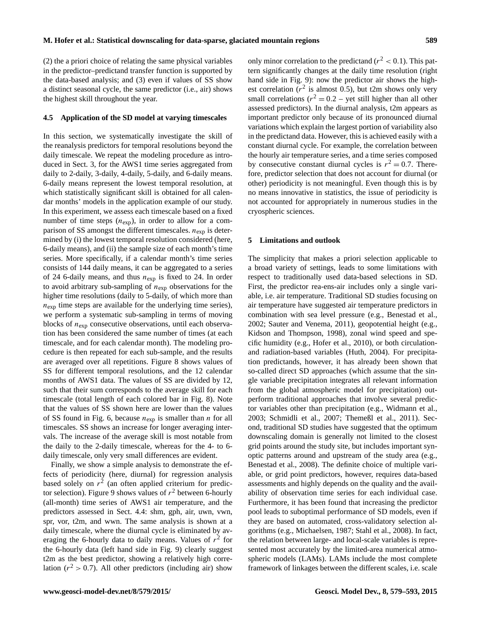(2) the a priori choice of relating the same physical variables in the predictor–predictand transfer function is supported by the data-based analysis; and (3) even if values of SS show a distinct seasonal cycle, the same predictor (i.e., air) shows the highest skill throughout the year.

#### <span id="page-10-0"></span>**4.5 Application of the SD model at varying timescales**

In this section, we systematically investigate the skill of the reanalysis predictors for temporal resolutions beyond the daily timescale. We repeat the modeling procedure as introduced in Sect. [3,](#page-3-0) for the AWS1 time series aggregated from daily to 2-daily, 3-daily, 4-daily, 5-daily, and 6-daily means. 6-daily means represent the lowest temporal resolution, at which statistically significant skill is obtained for all calendar months' models in the application example of our study. In this experiment, we assess each timescale based on a fixed number of time steps  $(n_{exp})$ , in order to allow for a comparison of SS amongst the different timescales.  $n_{\text{exp}}$  is determined by (i) the lowest temporal resolution considered (here, 6-daily means), and (ii) the sample size of each month's time series. More specifically, if a calendar month's time series consists of 144 daily means, it can be aggregated to a series of 24 6-daily means, and thus  $n_{\rm exp}$  is fixed to 24. In order to avoid arbitrary sub-sampling of  $n_{exp}$  observations for the higher time resolutions (daily to 5-daily, of which more than  $n_{\text{exp}}$  time steps are available for the underlying time series), we perform a systematic sub-sampling in terms of moving blocks of  $n_{exp}$  consecutive observations, until each observation has been considered the same number of times (at each timescale, and for each calendar month). The modeling procedure is then repeated for each sub-sample, and the results are averaged over all repetitions. Figure [8](#page-9-1) shows values of SS for different temporal resolutions, and the 12 calendar months of AWS1 data. The values of SS are divided by 12, such that their sum corresponds to the average skill for each timescale (total length of each colored bar in Fig. [8\)](#page-9-1). Note that the values of SS shown here are lower than the values of SS found in Fig. [6,](#page-8-1) because  $n_{exp}$  is smaller than *n* for all timescales. SS shows an increase for longer averaging intervals. The increase of the average skill is most notable from the daily to the 2-daily timescale, whereas for the 4- to 6 daily timescale, only very small differences are evident.

Finally, we show a simple analysis to demonstrate the effects of periodicity (here, diurnal) for regression analysis based solely on  $r^2$  (an often applied criterium for predic-tor selection). Figure [9](#page-9-2) shows values of  $r^2$  between 6-hourly (all-month) time series of AWS1 air temperature, and the predictors assessed in Sect. [4.4:](#page-8-0) shm, gph, air, uwn, vwn, spr, vor, t2m, and wwn. The same analysis is shown at a daily timescale, where the diurnal cycle is eliminated by averaging the 6-hourly data to daily means. Values of  $r^2$  for the 6-hourly data (left hand side in Fig. [9\)](#page-9-2) clearly suggest t2m as the best predictor, showing a relatively high correlation ( $r^2 > 0.7$ ). All other predictors (including air) show

only minor correlation to the predictand ( $r^2$  < 0.1). This pattern significantly changes at the daily time resolution (right hand side in Fig. [9\)](#page-9-2): now the predictor air shows the highest correlation ( $r^2$  is almost 0.5), but t2m shows only very small correlations ( $r^2 = 0.2$  – yet still higher than all other assessed predictors). In the diurnal analysis, t2m appears as important predictor only because of its pronounced diurnal variations which explain the largest portion of variability also in the predictand data. However, this is achieved easily with a constant diurnal cycle. For example, the correlation between the hourly air temperature series, and a time series composed by consecutive constant diurnal cycles is  $r^2 = 0.7$ . Therefore, predictor selection that does not account for diurnal (or other) periodicity is not meaningful. Even though this is by no means innovative in statistics, the issue of periodicity is not accounted for appropriately in numerous studies in the cryospheric sciences.

#### <span id="page-10-1"></span>**5 Limitations and outlook**

The simplicity that makes a priori selection applicable to a broad variety of settings, leads to some limitations with respect to traditionally used data-based selections in SD. First, the predictor rea-ens-air includes only a single variable, i.e. air temperature. Traditional SD studies focusing on air temperature have suggested air temperature predictors in combination with sea level pressure (e.g., [Benestad et al.,](#page-12-12) [2002;](#page-12-12) [Sauter and Venema,](#page-13-29) [2011\)](#page-13-29), geopotential height (e.g., [Kidson and Thompson,](#page-13-30) [1998\)](#page-13-30), zonal wind speed and specific humidity (e.g., [Hofer et al.,](#page-13-14) [2010\)](#page-13-14), or both circulationand radiation-based variables [\(Huth,](#page-13-31) [2004\)](#page-13-31). For precipitation predictands, however, it has already been shown that so-called direct SD approaches (which assume that the single variable precipitation integrates all relevant information from the global atmospheric model for precipitation) outperform traditional approaches that involve several predictor variables other than precipitation (e.g., [Widmann et al.,](#page-14-17) [2003;](#page-14-17) [Schmidli et al.,](#page-14-18) [2007;](#page-14-18) [Themeßl et al.,](#page-14-13) [2011\)](#page-14-13). Second, traditional SD studies have suggested that the optimum downscaling domain is generally not limited to the closest grid points around the study site, but includes important synoptic patterns around and upstream of the study area (e.g., [Benestad et al.,](#page-12-1) [2008\)](#page-12-1). The definite choice of multiple variable, or grid point predictors, however, requires data-based assessments and highly depends on the quality and the availability of observation time series for each individual case. Furthermore, it has been found that increasing the predictor pool leads to suboptimal performance of SD models, even if they are based on automated, cross-validatory selection algorithms (e.g., [Michaelsen,](#page-13-21) [1987;](#page-13-21) [Stahl et al.,](#page-14-9) [2008\)](#page-14-9). In fact, the relation between large- and local-scale variables is represented most accurately by the limited-area numerical atmospheric models (LAMs). LAMs include the most complete framework of linkages between the different scales, i.e. scale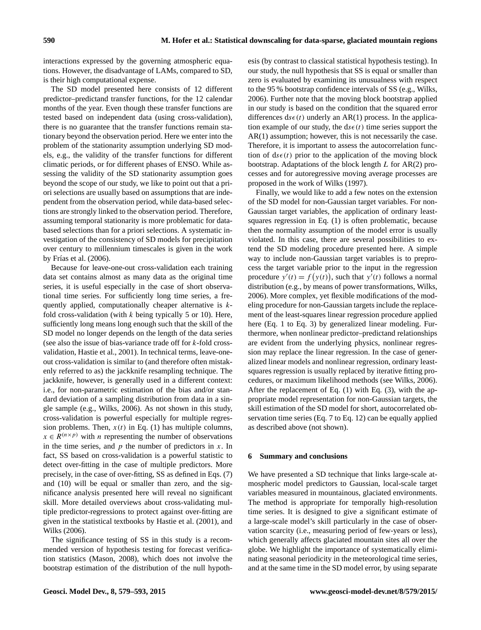interactions expressed by the governing atmospheric equations. However, the disadvantage of LAMs, compared to SD, is their high computational expense.

The SD model presented here consists of 12 different predictor–predictand transfer functions, for the 12 calendar months of the year. Even though these transfer functions are tested based on independent data (using cross-validation), there is no guarantee that the transfer functions remain stationary beyond the observation period. Here we enter into the problem of the stationarity assumption underlying SD models, e.g., the validity of the transfer functions for different climatic periods, or for different phases of ENSO. While assessing the validity of the SD stationarity assumption goes beyond the scope of our study, we like to point out that a priori selections are usually based on assumptions that are independent from the observation period, while data-based selections are strongly linked to the observation period. Therefore, assuming temporal stationarity is more problematic for databased selections than for a priori selections. A systematic investigation of the consistency of SD models for precipitation over century to millennium timescales is given in the work by [Frías et al.](#page-12-13) [\(2006\)](#page-12-13).

Because for leave-one-out cross-validation each training data set contains almost as many data as the original time series, it is useful especially in the case of short observational time series. For sufficiently long time series, a frequently applied, computationally cheaper alternative is kfold cross-validation (with  $k$  being typically 5 or 10). Here, sufficiently long means long enough such that the skill of the SD model no longer depends on the length of the data series (see also the issue of bias-variance trade off for k-fold crossvalidation, [Hastie et al.,](#page-13-5) [2001\)](#page-13-5). In technical terms, leave-oneout cross-validation is similar to (and therefore often mistakenly referred to as) the jackknife resampling technique. The jackknife, however, is generally used in a different context: i.e., for non-parametric estimation of the bias and/or standard deviation of a sampling distribution from data in a single sample (e.g., [Wilks,](#page-14-15) [2006\)](#page-14-15). As not shown in this study, cross-validation is powerful especially for multiple regression problems. Then,  $x(t)$  in Eq. [\(1\)](#page-4-0) has multiple columns,  $x \in R^{(n \times p)}$  with *n* representing the number of observations in the time series, and  $p$  the number of predictors in  $x$ . In fact, SS based on cross-validation is a powerful statistic to detect over-fitting in the case of multiple predictors. More precisely, in the case of over-fitting, SS as defined in Eqs. [\(7\)](#page-5-0) and [\(10\)](#page-5-1) will be equal or smaller than zero, and the significance analysis presented here will reveal no significant skill. More detailed overviews about cross-validating multiple predictor-regressions to protect against over-fitting are given in the statistical textbooks by [Hastie et al.](#page-13-5) [\(2001\)](#page-13-5), and [Wilks](#page-14-15) [\(2006\)](#page-14-15).

The significance testing of SS in this study is a recommended version of hypothesis testing for forecast verification statistics [\(Mason,](#page-13-32) [2008\)](#page-13-32), which does not involve the bootstrap estimation of the distribution of the null hypothesis (by contrast to classical statistical hypothesis testing). In our study, the null hypothesis that SS is equal or smaller than zero is evaluated by examining its unusualness with respect to the 95 % bootstrap confidence intervals of SS (e.g., [Wilks,](#page-14-15) [2006\)](#page-14-15). Further note that the moving block bootstrap applied in our study is based on the condition that the squared error differences  $ds \epsilon(t)$  underly an AR(1) process. In the application example of our study, the  $ds \epsilon(t)$  time series support the AR(1) assumption; however, this is not necessarily the case. Therefore, it is important to assess the autocorrelation function of  $ds \epsilon(t)$  prior to the application of the moving block bootstrap. Adaptations of the block length  $L$  for AR(2) processes and for autoregressive moving average processes are proposed in the work of [Wilks](#page-14-16) [\(1997\)](#page-14-16).

Finally, we would like to add a few notes on the extension of the SD model for non-Gaussian target variables. For non-Gaussian target variables, the application of ordinary leastsquares regression in Eq. [\(1\)](#page-4-0) is often problematic, because then the normality assumption of the model error is usually violated. In this case, there are several possibilities to extend the SD modeling procedure presented here. A simple way to include non-Gaussian target variables is to preprocess the target variable prior to the input in the regression procedure  $y'(t) = f(y(t))$ , such that  $y'(t)$  follows a normal distribution (e.g., by means of power transformations, [Wilks,](#page-14-15) [2006\)](#page-14-15). More complex, yet flexible modifications of the modeling procedure for non-Gaussian targets include the replacement of the least-squares linear regression procedure applied here (Eq. [1](#page-4-0) to Eq. [3\)](#page-4-1) by generalized linear modeling. Furthermore, when nonlinear predictor–predictand relationships are evident from the underlying physics, nonlinear regression may replace the linear regression. In the case of generalized linear models and nonlinear regression, ordinary leastsquares regression is usually replaced by iterative fitting procedures, or maximum likelihood methods (see [Wilks,](#page-14-15) [2006\)](#page-14-15). After the replacement of Eq. [\(1\)](#page-4-0) with Eq. [\(3\)](#page-4-1), with the appropriate model representation for non-Gaussian targets, the skill estimation of the SD model for short, autocorrelated observation time series (Eq. [7](#page-5-0) to Eq. [12\)](#page-5-5) can be equally applied as described above (not shown).

#### <span id="page-11-0"></span>**6 Summary and conclusions**

We have presented a SD technique that links large-scale atmospheric model predictors to Gaussian, local-scale target variables measured in mountainous, glaciated environments. The method is appropriate for temporally high-resolution time series. It is designed to give a significant estimate of a large-scale model's skill particularly in the case of observation scarcity (i.e., measuring period of few-years or less), which generally affects glaciated mountain sites all over the globe. We highlight the importance of systematically eliminating seasonal periodicity in the meteorological time series, and at the same time in the SD model error, by using separate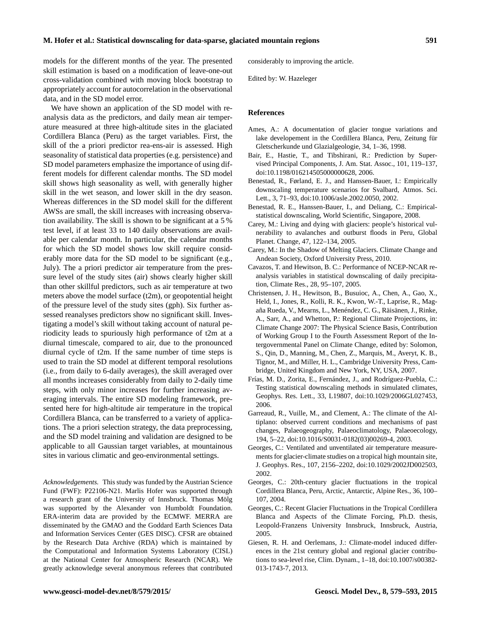models for the different months of the year. The presented skill estimation is based on a modification of leave-one-out cross-validation combined with moving block bootstrap to appropriately account for autocorrelation in the observational data, and in the SD model error.

We have shown an application of the SD model with reanalysis data as the predictors, and daily mean air temperature measured at three high-altitude sites in the glaciated Cordillera Blanca (Peru) as the target variables. First, the skill of the a priori predictor rea-ens-air is assessed. High seasonality of statistical data properties (e.g. persistence) and SD model parameters emphasize the importance of using different models for different calendar months. The SD model skill shows high seasonality as well, with generally higher skill in the wet season, and lower skill in the dry season. Whereas differences in the SD model skill for the different AWSs are small, the skill increases with increasing observation availability. The skill is shown to be significant at a 5 % test level, if at least 33 to 140 daily observations are available per calendar month. In particular, the calendar months for which the SD model shows low skill require considerably more data for the SD model to be significant (e.g., July). The a priori predictor air temperature from the pressure level of the study sites (air) shows clearly higher skill than other skillful predictors, such as air temperature at two meters above the model surface (t2m), or geopotential height of the pressure level of the study sites (gph). Six further assessed reanalyses predictors show no significant skill. Investigating a model's skill without taking account of natural periodicity leads to spuriously high performance of t2m at a diurnal timescale, compared to air, due to the pronounced diurnal cycle of t2m. If the same number of time steps is used to train the SD model at different temporal resolutions (i.e., from daily to 6-daily averages), the skill averaged over all months increases considerably from daily to 2-daily time steps, with only minor increases for further increasing averaging intervals. The entire SD modeling framework, presented here for high-altitude air temperature in the tropical Cordillera Blanca, can be transferred to a variety of applications. The a priori selection strategy, the data preprocessing, and the SD model training and validation are designed to be applicable to all Gaussian target variables, at mountainous sites in various climatic and geo-environmental settings.

*Acknowledgements.* This study was funded by the Austrian Science Fund (FWF): P22106-N21. Marlis Hofer was supported through a research grant of the University of Innsbruck. Thomas Mölg was supported by the Alexander von Humboldt Foundation. ERA-interim data are provided by the ECMWF. MERRA are disseminated by the GMAO and the Goddard Earth Sciences Data and Information Services Center (GES DISC). CFSR are obtained by the Research Data Archive (RDA) which is maintained by the Computational and Information Systems Laboratory (CISL) at the National Center for Atmospheric Research (NCAR). We greatly acknowledge several anonymous referees that contributed

considerably to improving the article.

Edited by: W. Hazeleger

## **References**

- <span id="page-12-5"></span>Ames, A.: A documentation of glacier tongue variations and lake developement in the Cordillera Blanca, Peru, Zeitung für Gletscherkunde und Glazialgeologie, 34, 1–36, 1998.
- <span id="page-12-4"></span>Bair, E., Hastie, T., and Tibshirani, R.: Prediction by Supervised Principal Components, J. Am. Stat. Assoc., 101, 119–137, doi[:10.1198/016214505000000628,](http://dx.doi.org/10.1198/016214505000000628) 2006.
- <span id="page-12-12"></span>Benestad, R., Førland, E. J., and Hanssen-Bauer, I.: Empirically downscaling temperature scenarios for Svalbard, Atmos. Sci. Lett., 3, 71–93, doi[:10.1006/asle.2002.0050,](http://dx.doi.org/10.1006/asle.2002.0050) 2002.
- <span id="page-12-1"></span>Benestad, R. E., Hanssen-Bauer, I., and Deliang, C.: Empiricalstatistical downscaling, World Scientific, Singapore, 2008.
- <span id="page-12-6"></span>Carey, M.: Living and dying with glaciers: people's historical vulnerability to avalanches and outburst floods in Peru, Global Planet. Change, 47, 122–134, 2005.
- <span id="page-12-7"></span>Carey, M.: In the Shadow of Melting Glaciers. Climate Change and Andean Society, Oxford University Press, 2010.
- <span id="page-12-3"></span>Cavazos, T. and Hewitson, B. C.: Performance of NCEP-NCAR reanalysis variables in statistical downscaling of daily precipitation, Climate Res., 28, 95–107, 2005.
- <span id="page-12-0"></span>Christensen, J. H., Hewitson, B., Busuioc, A., Chen, A., Gao, X., Held, I., Jones, R., Kolli, R. K., Kwon, W.-T., Laprise, R., Magaña Rueda, V., Mearns, L., Menéndez, C. G., Räisänen, J., Rinke, A., Sarr, A., and Whetton, P.: Regional Climate Projections, in: Climate Change 2007: The Physical Science Basis, Contribution of Working Group I to the Fourth Assessment Report of the Intergovernmental Panel on Climate Change, edited by: Solomon, S., Qin, D., Manning, M., Chen, Z., Marquis, M., Averyt, K. B., Tignor, M., and Miller, H. L., Cambridge University Press, Cambridge, United Kingdom and New York, NY, USA, 2007.
- <span id="page-12-13"></span>Frías, M. D., Zorita, E., Fernández, J., and Rodríguez-Puebla, C.: Testing statistical downscaling methods in simulated climates, Geophys. Res. Lett., 33, L19807, doi[:10.1029/2006GL027453,](http://dx.doi.org/10.1029/2006GL027453) 2006.
- <span id="page-12-11"></span>Garreaud, R., Vuille, M., and Clement, A.: The climate of the Altiplano: observed current conditions and mechanisms of past changes, Palaeogeography, Palaeoclimatology, Palaeoecology, 194, 5–22, doi[:10.1016/S0031-0182\(03\)00269-4,](http://dx.doi.org/10.1016/S0031-0182(03)00269-4) 2003.
- <span id="page-12-9"></span>Georges, C.: Ventilated and unventilated air temperature measurements for glacier-climate studies on a tropical high mountain site, J. Geophys. Res., 107, 2156–2202, doi[:10.1029/2002JD002503,](http://dx.doi.org/10.1029/2002JD002503) 2002.
- <span id="page-12-2"></span>Georges, C.: 20th-century glacier fluctuations in the tropical Cordillera Blanca, Peru, Arctic, Antarctic, Alpine Res., 36, 100– 107, 2004.
- <span id="page-12-8"></span>Georges, C.: Recent Glacier Fluctuations in the Tropical Cordillera Blanca and Aspects of the Climate Forcing, Ph.D. thesis, Leopold-Franzens University Innsbruck, Innsbruck, Austria, 2005.
- <span id="page-12-10"></span>Giesen, R. H. and Oerlemans, J.: Climate-model induced differences in the 21st century global and regional glacier contributions to sea-level rise, Clim. Dynam., 1–18, doi[:10.1007/s00382-](http://dx.doi.org/10.1007/s00382-013-1743-7) [013-1743-7,](http://dx.doi.org/10.1007/s00382-013-1743-7) 2013.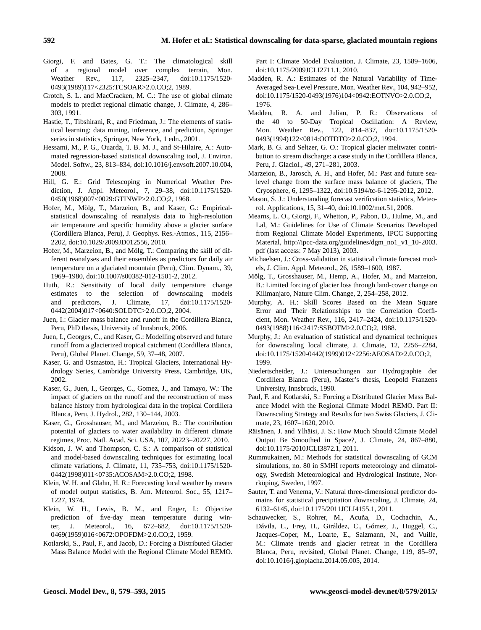- <span id="page-13-1"></span>Giorgi, F. and Bates, G. T.: The climatological skill of a regional model over complex terrain, Mon.<br>Weather Rev., 117, 2325–2347, doi:10.1175/1520-Weather Rev., 117, 2325–2347, doi[:10.1175/1520-](http://dx.doi.org/10.1175/1520-0493(1989)117<2325:TCSOAR>2.0.CO;2) [0493\(1989\)117<2325:TCSOAR>2.0.CO;2,](http://dx.doi.org/10.1175/1520-0493(1989)117<2325:TCSOAR>2.0.CO;2) 1989.
- <span id="page-13-22"></span>Grotch, S. L. and MacCracken, M. C.: The use of global climate models to predict regional climatic change, J. Climate, 4, 286– 303, 1991.
- <span id="page-13-5"></span>Hastie, T., Tibshirani, R., and Friedman, J.: The elements of statistical learning: data mining, inference, and prediction, Springer series in statistics, Springer, New York, 1 edn., 2001.
- <span id="page-13-4"></span>Hessami, M., P. G., Ouarda, T. B. M. J., and St-Hilaire, A.: Automated regression-based statistical downscaling tool, J. Environ. Model. Softw., 23, 813–834, doi[:10.1016/j.envsoft.2007.10.004,](http://dx.doi.org/10.1016/j.envsoft.2007.10.004) 2008.
- <span id="page-13-0"></span>Hill, G. E.: Grid Telescoping in Numerical Weather Prediction, J. Appl. Meteorol., 7, 29–38, doi[:10.1175/1520-](http://dx.doi.org/10.1175/1520-0450(1968)007<0029:GTINWP>2.0.CO;2) [0450\(1968\)007<0029:GTINWP>2.0.CO;2,](http://dx.doi.org/10.1175/1520-0450(1968)007<0029:GTINWP>2.0.CO;2) 1968.
- <span id="page-13-14"></span>Hofer, M., Mölg, T., Marzeion, B., and Kaser, G.: Empiricalstatistical downscaling of reanalysis data to high-resolution air temperature and specific humidity above a glacier surface (Cordillera Blanca, Peru), J. Geophys. Res.-Atmos., 115, 2156– 2202, doi[:10.1029/2009JD012556,](http://dx.doi.org/10.1029/2009JD012556) 2010.
- <span id="page-13-15"></span>Hofer, M., Marzeion, B., and Mölg, T.: Comparing the skill of different reanalyses and their ensembles as predictors for daily air temperature on a glaciated mountain (Peru), Clim. Dynam., 39, 1969–1980, doi[:10.1007/s00382-012-1501-2,](http://dx.doi.org/10.1007/s00382-012-1501-2) 2012.
- <span id="page-13-31"></span>Huth, R.: Sensitivity of local daily temperature change estimates to the selection of downscaling models and predictors, J. Climate, 17, doi[:10.1175/1520-](http://dx.doi.org/10.1175/1520-0442(2004)017<0640:SOLDTC>2.0.CO;2) [0442\(2004\)017<0640:SOLDTC>2.0.CO;2,](http://dx.doi.org/10.1175/1520-0442(2004)017<0640:SOLDTC>2.0.CO;2) 2004.
- <span id="page-13-10"></span>Juen, I.: Glacier mass balance and runoff in the Cordillera Blanca, Peru, PhD thesis, University of Innsbruck, 2006.
- <span id="page-13-11"></span>Juen, I., Georges, C., and Kaser, G.: Modelling observed and future runoff from a glacierized tropical catchment (Cordillera Blanca, Peru), Global Planet. Change, 59, 37–48, 2007.
- <span id="page-13-6"></span>Kaser, G. and Osmaston, H.: Tropical Glaciers, International Hydrology Series, Cambridge University Press, Cambridge, UK, 2002.
- <span id="page-13-9"></span>Kaser, G., Juen, I., Georges, C., Gomez, J., and Tamayo, W.: The impact of glaciers on the runoff and the reconstruction of mass balance history from hydrological data in the tropical Cordillera Blanca, Peru, J. Hydrol., 282, 130–144, 2003.
- <span id="page-13-12"></span>Kaser, G., Grosshauser, M., and Marzeion, B.: The contribution potential of glaciers to water availability in different climate regimes, Proc. Natl. Acad. Sci. USA, 107, 20223–20227, 2010.
- <span id="page-13-30"></span>Kidson, J. W. and Thompson, C. S.: A comparison of statistical and model-based downscaling techniques for estimating local climate variations, J. Climate, 11, 735–753, doi[:10.1175/1520-](http://dx.doi.org/10.1175/1520-0442(1998)011<0735:ACOSAM>2.0.CO;2) [0442\(1998\)011<0735:ACOSAM>2.0.CO;2,](http://dx.doi.org/10.1175/1520-0442(1998)011<0735:ACOSAM>2.0.CO;2) 1998.
- <span id="page-13-20"></span>Klein, W. H. and Glahn, H. R.: Forecasting local weather by means of model output statistics, B. Am. Meteorol. Soc., 55, 1217– 1227, 1974.
- <span id="page-13-3"></span>Klein, W. H., Lewis, B. M., and Enger, I.: Objective prediction of five-day mean temperature during winter, J. Meteorol., 16, 672–682, doi[:10.1175/1520-](http://dx.doi.org/10.1175/1520-0469(1959)016<0672:OPOFDM>2.0.CO;2) [0469\(1959\)016<0672:OPOFDM>2.0.CO;2,](http://dx.doi.org/10.1175/1520-0469(1959)016<0672:OPOFDM>2.0.CO;2) 1959.
- <span id="page-13-16"></span>Kotlarski, S., Paul, F., and Jacob, D.: Forcing a Distributed Glacier Mass Balance Model with the Regional Climate Model REMO.

Part I: Climate Model Evaluation, J. Climate, 23, 1589–1606, doi[:10.1175/2009JCLI2711.1,](http://dx.doi.org/10.1175/2009JCLI2711.1) 2010.

- <span id="page-13-24"></span>Madden, R. A.: Estimates of the Natural Variability of Time-Averaged Sea-Level Pressure, Mon. Weather Rev., 104, 942–952, doi[:10.1175/1520-0493\(1976\)104<0942:EOTNVO>2.0.CO;2,](http://dx.doi.org/10.1175/1520-0493(1976)104<0942:EOTNVO>2.0.CO;2) 1976.
- <span id="page-13-26"></span>Madden, R. A. and Julian, P. R.: Observations of the 40 to 50-Day Tropical Oscillation: A Review, Mon. Weather Rev., 122, 814–837, doi[:10.1175/1520-](http://dx.doi.org/10.1175/1520-0493(1994)122<0814:OOTDTO>2.0.CO;2) [0493\(1994\)122<0814:OOTDTO>2.0.CO;2,](http://dx.doi.org/10.1175/1520-0493(1994)122<0814:OOTDTO>2.0.CO;2) 1994.
- <span id="page-13-8"></span>Mark, B. G. and Seltzer, G. O.: Tropical glacier meltwater contribution to stream discharge: a case study in the Cordillera Blanca, Peru, J. Glaciol., 49, 271–281, 2003.
- <span id="page-13-18"></span>Marzeion, B., Jarosch, A. H., and Hofer, M.: Past and future sealevel change from the surface mass balance of glaciers, The Cryosphere, 6, 1295–1322, doi[:10.5194/tc-6-1295-2012,](http://dx.doi.org/10.5194/tc-6-1295-2012) 2012.
- <span id="page-13-32"></span>Mason, S. J.: Understanding forecast verification statistics, Meteorol. Applications, 15, 31–40, doi[:10.1002/met.51,](http://dx.doi.org/10.1002/met.51) 2008.
- <span id="page-13-2"></span>Mearns, L. O., Giorgi, F., Whetton, P., Pabon, D., Hulme, M., and Lal, M.: Guidelines for Use of Climate Scenarios Developed from Regional Climate Model Experiments, IPCC Supporting Material, [http://ipcc-data.org/guidelines/dgm\\_no1\\_v1\\_10-2003.](http://ipcc-data.org/guidelines/dgm_no1_v1_10-2003.pdf) [pdf](http://ipcc-data.org/guidelines/dgm_no1_v1_10-2003.pdf) (last access: 7 May 2013), 2003.
- <span id="page-13-21"></span>Michaelsen, J.: Cross-validation in statistical climate forecast models, J. Clim. Appl. Meteorol., 26, 1589–1600, 1987.
- <span id="page-13-19"></span>Mölg, T., Grosshauser, M., Hemp, A., Hofer, M., and Marzeion, B.: Limited forcing of glacier loss through land-cover change on Kilimanjaro, Nature Clim. Change, 2, 254–258, 2012.
- <span id="page-13-25"></span>Murphy, A. H.: Skill Scores Based on the Mean Square Error and Their Relationships to the Correlation Coefficient, Mon. Weather Rev., 116, 2417–2424, doi[:10.1175/1520-](http://dx.doi.org/10.1175/1520-0493(1988)116<2417:SSBOTM>2.0.CO;2) [0493\(1988\)116<2417:SSBOTM>2.0.CO;2,](http://dx.doi.org/10.1175/1520-0493(1988)116<2417:SSBOTM>2.0.CO;2) 1988.
- <span id="page-13-27"></span>Murphy, J.: An evaluation of statistical and dynamical techniques for downscaling local climate, J. Climate, 12, 2256–2284, doi[:10.1175/1520-0442\(1999\)012<2256:AEOSAD>2.0.CO;2,](http://dx.doi.org/10.1175/1520-0442(1999)012<2256:AEOSAD>2.0.CO;2) 1999.
- <span id="page-13-13"></span>Niedertscheider, J.: Untersuchungen zur Hydrographie der Cordillera Blanca (Peru), Master's thesis, Leopold Franzens University, Innsbruck, 1990.
- <span id="page-13-17"></span>Paul, F. and Kotlarski, S.: Forcing a Distributed Glacier Mass Balance Model with the Regional Climate Model REMO. Part II: Downscaling Strategy and Results for two Swiss Glaciers, J. Climate, 23, 1607–1620, 2010.
- <span id="page-13-23"></span>Räisänen, J. and Ylhäisi, J. S.: How Much Should Climate Model Output Be Smoothed in Space?, J. Climate, 24, 867–880, doi[:10.1175/2010JCLI3872.1,](http://dx.doi.org/10.1175/2010JCLI3872.1) 2011.
- <span id="page-13-28"></span>Rummukainen, M.: Methods for statistical downscaling of GCM simulations, no. 80 in SMHI reports meteorology and climatology, Swedish Meteorological and Hydrological Institute, Norrköping, Sweden, 1997.
- <span id="page-13-29"></span>Sauter, T. and Venema, V.: Natural three-dimensional predictor domains for statistical precipitation downscaling, J. Climate, 24, 6132–6145, doi[:10.1175/2011JCLI4155.1,](http://dx.doi.org/10.1175/2011JCLI4155.1) 2011.
- <span id="page-13-7"></span>Schauwecker, S., Rohrer, M., Acuña, D., Cochachin, A., Dávila, L., Frey, H., Giráldez, C., Gómez, J., Huggel, C., Jacques-Coper, M., Loarte, E., Salzmann, N., and Vuille, M.: Climate trends and glacier retreat in the Cordillera Blanca, Peru, revisited, Global Planet. Change, 119, 85–97, doi[:10.1016/j.gloplacha.2014.05.005,](http://dx.doi.org/10.1016/j.gloplacha.2014.05.005) 2014.